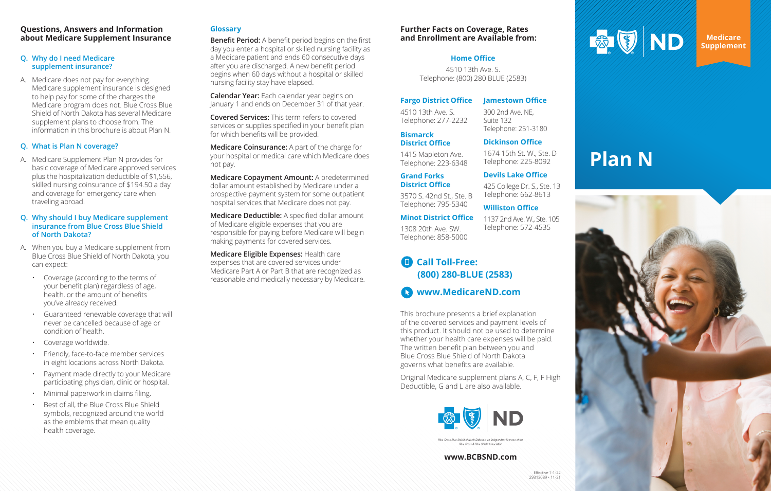# **Questions, Answers and Information about Medicare Supplement Insurance**

## **Q. Why do I need Medicare supplement insurance?**

A. Medicare does not pay for everything. Medicare supplement insurance is designed to help pay for some of the charges the Medicare program does not. Blue Cross Blue Shield of North Dakota has several Medicare supplement plans to choose from. The information in this brochure is about Plan N.

# **Q. What is Plan N coverage?**

A. Medicare Supplement Plan N provides for basic coverage of Medicare approved services plus the hospitalization deductible of \$1,556, skilled nursing coinsurance of \$194.50 a day and coverage for emergency care when traveling abroad.

## **Q. Why should I buy Medicare supplement insurance from Blue Cross Blue Shield of North Dakota?**

- A. When you buy a Medicare supplement from Blue Cross Blue Shield of North Dakota, you can expect:
	- Coverage (according to the terms of your benefit plan) regardless of age, health, or the amount of benefits you've already received.
	- Guaranteed renewable coverage that will never be cancelled because of age or condition of health.
	- Coverage worldwide.
	- Friendly, face-to-face member services in eight locations across North Dakota.
	- Payment made directly to your Medicare participating physician, clinic or hospital.
	- Minimal paperwork in claims filing.
	- Best of all, the Blue Cross Blue Shield symbols, recognized around the world as the emblems that mean quality health coverage.

# **Glossary**

**Benefit Period:** A benefit period begins on the first day you enter a hospital or skilled nursing facility as a Medicare patient and ends 60 consecutive days after you are discharged. A new benefit period begins when 60 days without a hospital or skilled nursing facility stay have elapsed.

**Calendar Year:** Each calendar year begins on January 1 and ends on December 31 of that year.

**Covered Services:** This term refers to covered services or supplies specified in your benefit plan for which benefits will be provided.

**Medicare Coinsurance:** A part of the charge for your hospital or medical care which Medicare does not pay.

**Medicare Copayment Amount:** A predetermined dollar amount established by Medicare under a prospective payment system for some outpatient hospital services that Medicare does not pay.

**Medicare Deductible:** A specified dollar amount of Medicare eligible expenses that you are responsible for paying before Medicare will begin making payments for covered services.

**Medicare Eligible Expenses:** Health care expenses that are covered services under Medicare Part A or Part B that are recognized as reasonable and medically necessary by Medicare.



This brochure presents a brief explanation of the covered services and payment levels of this product. It should not be used to determine whether your health care expenses will be paid. The written benefit plan between you and Blue Cross Blue Shield of North Dakota governs what benefits are available.

Original Medicare supplement plans A, C, F, F High Deductible, G and L are also available.



Blue Cross & Blue Shield Associatio

**Medicare Supplement**

# **Plan N**



## **www.BCBSND.com**

# **Further Facts on Coverage, Rates and Enrollment are Available from:**

## **Fargo District Office**

4510 13th Ave. S. Telephone: 277-2232

1415 Mapleton Ave. Telephone: 223-6348

**Grand Forks District Office**

3570 S. 42nd St., Ste. B Telephone: 795-5340

#### **Bismarck**  Suite 132 Telephone: 251-3180

**District Office Dickinson Office** 1674 15th St. W., Ste. D

**Minot District Office** 1308 20th Ave. SW. Telephone: 858-5000

### **Jamestown Office**

300 2nd Ave. NE,

# Telephone: 225-8092 **Devils Lake Office**

425 College Dr. S., Ste. 13 Telephone: 662-8613

## **Williston Office**

# 1137 2nd Ave. W., Ste. 105 Telephone: 572-4535

## **Call Toll-Free:**   $\blacksquare$ **(800) 280-BLUE (2583)**

**www.MedicareND.com**

# **Home Office**

4510 13th Ave. S. Telephone: (800) 280 BLUE (2583)